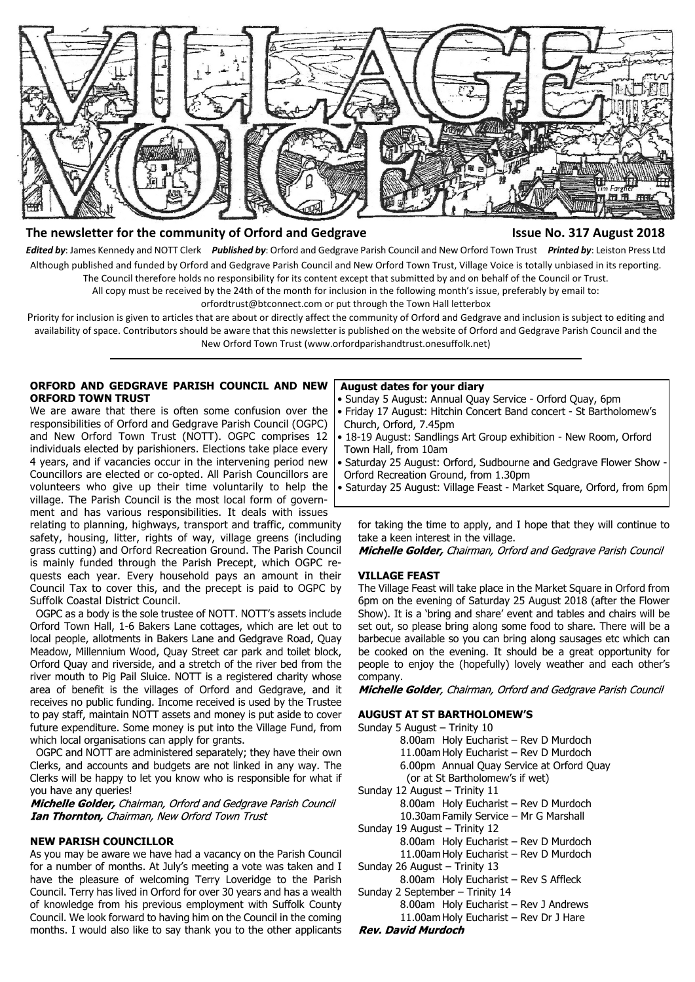

# **The newsletter for the community of Orford and Gedgrave The Community of Orford and Gedgrave Community of State August 2018**

*Edited by*: James Kennedy and NOTT Clerk *Published by*: Orford and Gedgrave Parish Council and New Orford Town Trust *Printed by*: Leiston Press Ltd Although published and funded by Orford and Gedgrave Parish Council and New Orford Town Trust, Village Voice is totally unbiased in its reporting. The Council therefore holds no responsibility for its content except that submitted by and on behalf of the Council or Trust.

All copy must be received by the 24th of the month for inclusion in the following month's issue, preferably by email to:

orfordtrust@btconnect.com or put through the Town Hall letterbox

Priority for inclusion is given to articles that are about or directly affect the community of Orford and Gedgrave and inclusion is subject to editing and availability of space. Contributors should be aware that this newsletter is published on the website of Orford and Gedgrave Parish Council and the New Orford Town Trust (www.orfordparishandtrust.onesuffolk.net)

#### **ORFORD AND GEDGRAVE PARISH COUNCIL AND NEW ORFORD TOWN TRUST**

We are aware that there is often some confusion over the responsibilities of Orford and Gedgrave Parish Council (OGPC) and New Orford Town Trust (NOTT). OGPC comprises 12 individuals elected by parishioners. Elections take place every 4 years, and if vacancies occur in the intervening period new Councillors are elected or co-opted. All Parish Councillors are volunteers who give up their time voluntarily to help the village. The Parish Council is the most local form of government and has various responsibilities. It deals with issues

relating to planning, highways, transport and traffic, community safety, housing, litter, rights of way, village greens (including grass cutting) and Orford Recreation Ground. The Parish Council is mainly funded through the Parish Precept, which OGPC requests each year. Every household pays an amount in their Council Tax to cover this, and the precept is paid to OGPC by Suffolk Coastal District Council.

 OGPC as a body is the sole trustee of NOTT. NOTT's assets include Orford Town Hall, 1-6 Bakers Lane cottages, which are let out to local people, allotments in Bakers Lane and Gedgrave Road, Quay Meadow, Millennium Wood, Quay Street car park and toilet block, Orford Quay and riverside, and a stretch of the river bed from the river mouth to Pig Pail Sluice. NOTT is a registered charity whose area of benefit is the villages of Orford and Gedgrave, and it receives no public funding. Income received is used by the Trustee to pay staff, maintain NOTT assets and money is put aside to cover future expenditure. Some money is put into the Village Fund, from which local organisations can apply for grants.

 OGPC and NOTT are administered separately; they have their own Clerks, and accounts and budgets are not linked in any way. The Clerks will be happy to let you know who is responsible for what if you have any queries!

Michelle Golder, Chairman, Orford and Gedgrave Parish Council **Ian Thornton, Chairman, New Orford Town Trust** 

# **NEW PARISH COUNCILLOR**

As you may be aware we have had a vacancy on the Parish Council for a number of months. At July's meeting a vote was taken and I have the pleasure of welcoming Terry Loveridge to the Parish Council. Terry has lived in Orford for over 30 years and has a wealth of knowledge from his previous employment with Suffolk County Council. We look forward to having him on the Council in the coming months. I would also like to say thank you to the other applicants

#### **August dates for your diary**

• Sunday 5 August: Annual Quay Service - Orford Quay, 6pm • Friday 17 August: Hitchin Concert Band concert - St Bartholomew's

- Church, Orford, 7.45pm • 18-19 August: Sandlings Art Group exhibition - New Room, Orford
- Town Hall, from 10am
- Saturday 25 August: Orford, Sudbourne and Gedgrave Flower Show Orford Recreation Ground, from 1.30pm
- Saturday 25 August: Village Feast Market Square, Orford, from 6pm

for taking the time to apply, and I hope that they will continue to take a keen interest in the village.

Michelle Golder, Chairman, Orford and Gedgrave Parish Council

#### **VILLAGE FEAST**

The Village Feast will take place in the Market Square in Orford from 6pm on the evening of Saturday 25 August 2018 (after the Flower Show). It is a 'bring and share' event and tables and chairs will be set out, so please bring along some food to share. There will be a barbecue available so you can bring along sausages etc which can be cooked on the evening. It should be a great opportunity for people to enjoy the (hopefully) lovely weather and each other's company.

Michelle Golder, Chairman, Orford and Gedgrave Parish Council

#### **AUGUST AT ST BARTHOLOMEW'S**

| Sunday 5 August - Trinity 10              |
|-------------------------------------------|
| 8.00am Holy Eucharist - Rev D Murdoch     |
| 11.00am Holy Eucharist - Rev D Murdoch    |
| 6.00pm Annual Quay Service at Orford Quay |
| (or at St Bartholomew's if wet)           |
| Sunday 12 August – Trinity 11             |
| 8.00am Holy Eucharist - Rev D Murdoch     |
| 10.30am Family Service - Mr G Marshall    |
| Sunday 19 August – Trinity 12             |
| 8.00am Holy Eucharist - Rev D Murdoch     |
| 11.00am Holy Eucharist - Rev D Murdoch    |
| Sunday 26 August – Trinity 13             |
| 8.00am Holy Eucharist - Rev S Affleck     |
| Sunday 2 September - Trinity 14           |
| 8.00am Holy Eucharist - Rev J Andrews     |
| 11.00am Holy Eucharist - Rev Dr J Hare    |
| Rev. David Murdoch                        |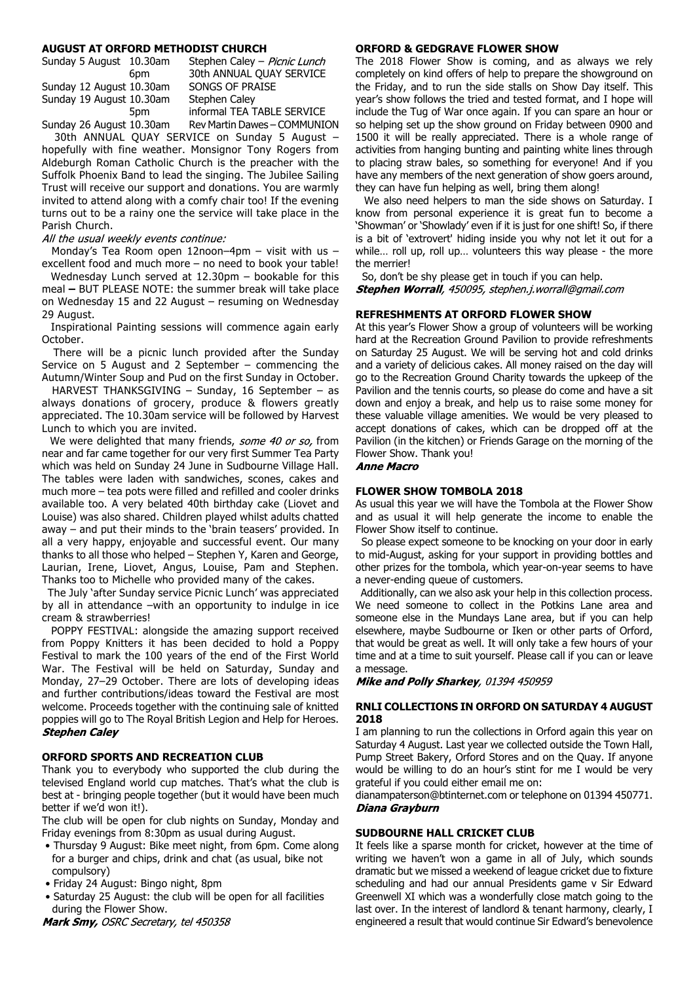# **AUGUST AT ORFORD METHODIST CHURCH**

| Sunday 5 August 10.30am  |     | Stephen Caley - Picnic Lunch |
|--------------------------|-----|------------------------------|
|                          | 6pm | 30th ANNUAL OUAY SERVICE     |
| Sunday 12 August 10.30am |     | SONGS OF PRAISE              |
| Sunday 19 August 10.30am |     | Stephen Caley                |
|                          | 5pm | informal TEA TABLE SERVICE   |

Sunday 26 August 10.30am Rev Martin Dawes – COMMUNION

 30th ANNUAL QUAY SERVICE on Sunday 5 August – hopefully with fine weather. Monsignor Tony Rogers from Aldeburgh Roman Catholic Church is the preacher with the Suffolk Phoenix Band to lead the singing. The Jubilee Sailing Trust will receive our support and donations. You are warmly invited to attend along with a comfy chair too! If the evening turns out to be a rainy one the service will take place in the Parish Church.

#### All the usual weekly events continue:

Monday's Tea Room open 12noon–4pm – visit with us – excellent food and much more – no need to book your table!

 Wednesday Lunch served at 12.30pm – bookable for this meal **–** BUT PLEASE NOTE: the summer break will take place on Wednesday 15 and 22 August – resuming on Wednesday 29 August.

 Inspirational Painting sessions will commence again early October.

 There will be a picnic lunch provided after the Sunday Service on 5 August and 2 September – commencing the Autumn/Winter Soup and Pud on the first Sunday in October.

 HARVEST THANKSGIVING – Sunday, 16 September – as always donations of grocery, produce & flowers greatly appreciated. The 10.30am service will be followed by Harvest Lunch to which you are invited.

We were delighted that many friends, some 40 or so, from near and far came together for our very first Summer Tea Party which was held on Sunday 24 June in Sudbourne Village Hall. The tables were laden with sandwiches, scones, cakes and much more – tea pots were filled and refilled and cooler drinks available too. A very belated 40th birthday cake (Liovet and Louise) was also shared. Children played whilst adults chatted away – and put their minds to the 'brain teasers' provided. In all a very happy, enjoyable and successful event. Our many thanks to all those who helped – Stephen Y, Karen and George, Laurian, Irene, Liovet, Angus, Louise, Pam and Stephen. Thanks too to Michelle who provided many of the cakes.

 The July 'after Sunday service Picnic Lunch' was appreciated by all in attendance –with an opportunity to indulge in ice cream & strawberries!

 POPPY FESTIVAL: alongside the amazing support received from Poppy Knitters it has been decided to hold a Poppy Festival to mark the 100 years of the end of the First World War. The Festival will be held on Saturday, Sunday and Monday, 27–29 October. There are lots of developing ideas and further contributions/ideas toward the Festival are most welcome. Proceeds together with the continuing sale of knitted poppies will go to The Royal British Legion and Help for Heroes. **Stephen Caley** 

#### **ORFORD SPORTS AND RECREATION CLUB**

Thank you to everybody who supported the club during the televised England world cup matches. That's what the club is best at - bringing people together (but it would have been much better if we'd won it!).

The club will be open for club nights on Sunday, Monday and Friday evenings from 8:30pm as usual during August.

- Thursday 9 August: Bike meet night, from 6pm. Come along for a burger and chips, drink and chat (as usual, bike not compulsory)
- Friday 24 August: Bingo night, 8pm
- Saturday 25 August: the club will be open for all facilities during the Flower Show.

Mark Smy, OSRC Secretary, tel 450358

# **ORFORD & GEDGRAVE FLOWER SHOW**

The 2018 Flower Show is coming, and as always we rely completely on kind offers of help to prepare the showground on the Friday, and to run the side stalls on Show Day itself. This year's show follows the tried and tested format, and I hope will include the Tug of War once again. If you can spare an hour or so helping set up the show ground on Friday between 0900 and 1500 it will be really appreciated. There is a whole range of activities from hanging bunting and painting white lines through to placing straw bales, so something for everyone! And if you have any members of the next generation of show goers around, they can have fun helping as well, bring them along!

 We also need helpers to man the side shows on Saturday. I know from personal experience it is great fun to become a 'Showman' or 'Showlady' even if it is just for one shift! So, if there is a bit of 'extrovert' hiding inside you why not let it out for a while... roll up, roll up... volunteers this way please - the more the merrier!

So, don't be shy please get in touch if you can help.<br>**Stephen Worrall**, 450095, stephen.j.worrall@gmail.com

#### **REFRESHMENTS AT ORFORD FLOWER SHOW**

At this year's Flower Show a group of volunteers will be working hard at the Recreation Ground Pavilion to provide refreshments on Saturday 25 August. We will be serving hot and cold drinks and a variety of delicious cakes. All money raised on the day will go to the Recreation Ground Charity towards the upkeep of the Pavilion and the tennis courts, so please do come and have a sit down and enjoy a break, and help us to raise some money for these valuable village amenities. We would be very pleased to accept donations of cakes, which can be dropped off at the Pavilion (in the kitchen) or Friends Garage on the morning of the Flower Show. Thank you!

**Anne Macro** 

# **FLOWER SHOW TOMBOLA 2018**

As usual this year we will have the Tombola at the Flower Show and as usual it will help generate the income to enable the Flower Show itself to continue.

 So please expect someone to be knocking on your door in early to mid-August, asking for your support in providing bottles and other prizes for the tombola, which year-on-year seems to have a never-ending queue of customers.

 Additionally, can we also ask your help in this collection process. We need someone to collect in the Potkins Lane area and someone else in the Mundays Lane area, but if you can help elsewhere, maybe Sudbourne or Iken or other parts of Orford, that would be great as well. It will only take a few hours of your time and at a time to suit yourself. Please call if you can or leave a message.

Mike and Polly Sharkey, 01394 450959

# **RNLI COLLECTIONS IN ORFORD ON SATURDAY 4 AUGUST 2018**

I am planning to run the collections in Orford again this year on Saturday 4 August. Last year we collected outside the Town Hall, Pump Street Bakery, Orford Stores and on the Quay. If anyone would be willing to do an hour's stint for me I would be very grateful if you could either email me on:

dianampaterson@btinternet.com or telephone on 01394 450771. Diana Grayburn

# **SUDBOURNE HALL CRICKET CLUB**

It feels like a sparse month for cricket, however at the time of writing we haven't won a game in all of July, which sounds dramatic but we missed a weekend of league cricket due to fixture scheduling and had our annual Presidents game v Sir Edward Greenwell XI which was a wonderfully close match going to the last over. In the interest of landlord & tenant harmony, clearly, I engineered a result that would continue Sir Edward's benevolence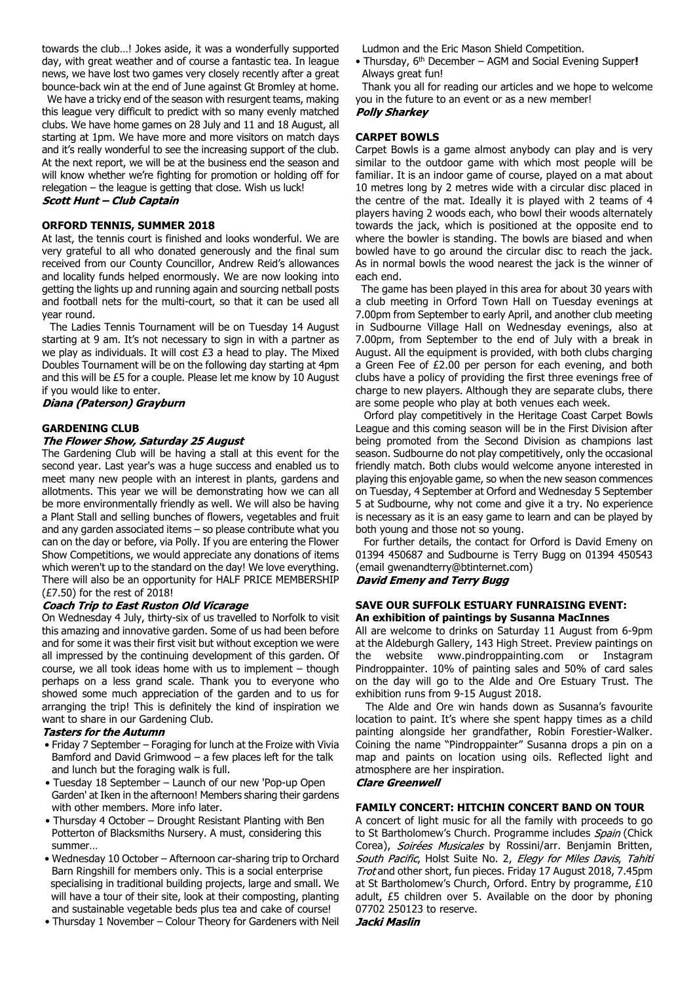towards the club…! Jokes aside, it was a wonderfully supported day, with great weather and of course a fantastic tea. In league news, we have lost two games very closely recently after a great bounce-back win at the end of June against Gt Bromley at home.

We have a tricky end of the season with resurgent teams, making this league very difficult to predict with so many evenly matched clubs. We have home games on 28 July and 11 and 18 August, all starting at 1pm. We have more and more visitors on match days and it's really wonderful to see the increasing support of the club. At the next report, we will be at the business end the season and will know whether we're fighting for promotion or holding off for relegation – the league is getting that close. Wish us luck!

# **Scott Hunt - Club Captain**

# **ORFORD TENNIS, SUMMER 2018**

At last, the tennis court is finished and looks wonderful. We are very grateful to all who donated generously and the final sum received from our County Councillor, Andrew Reid's allowances and locality funds helped enormously. We are now looking into getting the lights up and running again and sourcing netball posts and football nets for the multi-court, so that it can be used all year round.

 The Ladies Tennis Tournament will be on Tuesday 14 August starting at 9 am. It's not necessary to sign in with a partner as we play as individuals. It will cost £3 a head to play. The Mixed Doubles Tournament will be on the following day starting at 4pm and this will be £5 for a couple. Please let me know by 10 August if you would like to enter.

Diana (Paterson) Grayburn

# **GARDENING CLUB**

# The Flower Show, Saturday 25 August

The Gardening Club will be having a stall at this event for the second year. Last year's was a huge success and enabled us to meet many new people with an interest in plants, gardens and allotments. This year we will be demonstrating how we can all be more environmentally friendly as well. We will also be having a Plant Stall and selling bunches of flowers, vegetables and fruit and any garden associated items – so please contribute what you can on the day or before, via Polly. If you are entering the Flower Show Competitions, we would appreciate any donations of items which weren't up to the standard on the day! We love everything. There will also be an opportunity for HALF PRICE MEMBERSHIP (£7.50) for the rest of 2018!

# **Coach Trip to East Ruston Old Vicarage**

On Wednesday 4 July, thirty-six of us travelled to Norfolk to visit this amazing and innovative garden. Some of us had been before and for some it was their first visit but without exception we were all impressed by the continuing development of this garden. Of course, we all took ideas home with us to implement – though perhaps on a less grand scale. Thank you to everyone who showed some much appreciation of the garden and to us for arranging the trip! This is definitely the kind of inspiration we want to share in our Gardening Club.

# **Tasters for the Autumn**

- Friday 7 September Foraging for lunch at the Froize with Vivia Bamford and David Grimwood – a few places left for the talk and lunch but the foraging walk is full.
- Tuesday 18 September Launch of our new 'Pop-up Open Garden' at Iken in the afternoon! Members sharing their gardens with other members. More info later.
- Thursday 4 October Drought Resistant Planting with Ben Potterton of Blacksmiths Nursery. A must, considering this summer…
- Wednesday 10 October Afternoon car-sharing trip to Orchard Barn Ringshill for members only. This is a social enterprise specialising in traditional building projects, large and small. We will have a tour of their site, look at their composting, planting and sustainable vegetable beds plus tea and cake of course!
- Thursday 1 November Colour Theory for Gardeners with Neil

Ludmon and the Eric Mason Shield Competition.

• Thursday, 6th December – AGM and Social Evening Supper**!** Always great fun!

Thank you all for reading our articles and we hope to welcome you in the future to an event or as a new member!

# **Polly Sharkey**

# **CARPET BOWLS**

Carpet Bowls is a game almost anybody can play and is very similar to the outdoor game with which most people will be familiar. It is an indoor game of course, played on a mat about 10 metres long by 2 metres wide with a circular disc placed in the centre of the mat. Ideally it is played with 2 teams of 4 players having 2 woods each, who bowl their woods alternately towards the jack, which is positioned at the opposite end to where the bowler is standing. The bowls are biased and when bowled have to go around the circular disc to reach the jack. As in normal bowls the wood nearest the jack is the winner of each end.

 The game has been played in this area for about 30 years with a club meeting in Orford Town Hall on Tuesday evenings at 7.00pm from September to early April, and another club meeting in Sudbourne Village Hall on Wednesday evenings, also at 7.00pm, from September to the end of July with a break in August. All the equipment is provided, with both clubs charging a Green Fee of £2.00 per person for each evening, and both clubs have a policy of providing the first three evenings free of charge to new players. Although they are separate clubs, there are some people who play at both venues each week.

 Orford play competitively in the Heritage Coast Carpet Bowls League and this coming season will be in the First Division after being promoted from the Second Division as champions last season. Sudbourne do not play competitively, only the occasional friendly match. Both clubs would welcome anyone interested in playing this enjoyable game, so when the new season commences on Tuesday, 4 September at Orford and Wednesday 5 September 5 at Sudbourne, why not come and give it a try. No experience is necessary as it is an easy game to learn and can be played by both young and those not so young.

 For further details, the contact for Orford is David Emeny on 01394 450687 and Sudbourne is Terry Bugg on 01394 450543 (email gwenandterry@btinternet.com)

# **David Emeny and Terry Bugg**

# **SAVE OUR SUFFOLK ESTUARY FUNRAISING EVENT: An exhibition of paintings by Susanna MacInnes**

All are welcome to drinks on Saturday 11 August from 6-9pm at the Aldeburgh Gallery, 143 High Street. Preview paintings on the website www.pindroppainting.com or Instagram Pindroppainter. 10% of painting sales and 50% of card sales on the day will go to the Alde and Ore Estuary Trust. The exhibition runs from 9-15 August 2018.

 The Alde and Ore win hands down as Susanna's favourite location to paint. It's where she spent happy times as a child painting alongside her grandfather, Robin Forestier-Walker. Coining the name "Pindroppainter" Susanna drops a pin on a map and paints on location using oils. Reflected light and atmosphere are her inspiration.

**Clare Greenwell** 

# **FAMILY CONCERT: HITCHIN CONCERT BAND ON TOUR**

A concert of light music for all the family with proceeds to go to St Bartholomew's Church. Programme includes Spain (Chick Corea), Soirées Musicales by Rossini/arr. Benjamin Britten, South Pacific, Holst Suite No. 2, Elegy for Miles Davis, Tahiti Trot and other short, fun pieces. Friday 17 August 2018, 7.45pm at St Bartholomew's Church, Orford. Entry by programme, £10 adult, £5 children over 5. Available on the door by phoning 07702 250123 to reserve.Jacki Maslin